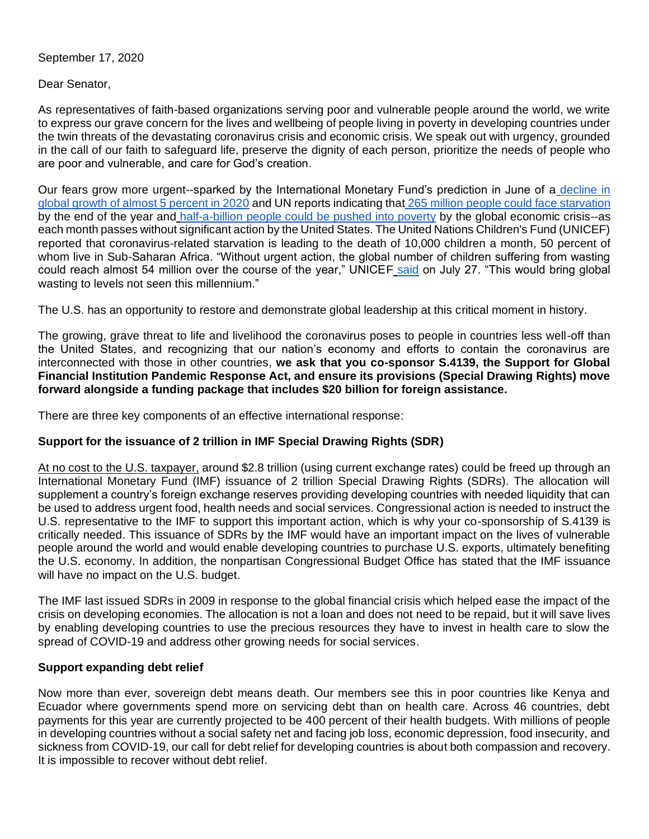September 17, 2020

Dear Senator,

As representatives of faith-based organizations serving poor and vulnerable people around the world, we write to express our grave concern for the lives and wellbeing of people living in poverty in developing countries under the twin threats of the devastating coronavirus crisis and economic crisis. We speak out with urgency, grounded in the call of our faith to safeguard life, preserve the dignity of each person, prioritize the needs of people who are poor and vulnerable, and care for God's creation.

Our fears grow more urgent--sparked by the International Monetary Fund's prediction in June of a [decline in](https://www.imf.org/en/Publications/WEO/Issues/2020/06/24/WEOUpdateJune2020)  [global growth of almost 5 percent in 2020](https://www.imf.org/en/Publications/WEO/Issues/2020/06/24/WEOUpdateJune2020) and UN reports indicating that [265 million people could face starvation](https://www.wfp.org/news/wfp-chief-warns-hunger-pandemic-covid-19-spreads-statement-un-security-council) by the end of the year and [half-a-billion people could be pushed into poverty](https://thehill.com/policy/finance/491970-coronavirus-could-push-half-a-billion-people-into-poverty-report) by the global economic crisis--as each month passes without significant action by the United States. The United Nations Children's Fund (UNICEF) reported that coronavirus-related starvation is leading to the death of 10,000 children a month, 50 percent of whom live in Sub-Saharan Africa. "Without urgent action, the global number of children suffering from wasting could reach almost 54 million over the course of the year," UNICEF [said](https://www.unicef.org/press-releases/unicef-additional-67-million-children-under-5-could-suffer-wasting-year-due-covid-19) on July 27. "This would bring global wasting to levels not seen this millennium."

The U.S. has an opportunity to restore and demonstrate global leadership at this critical moment in history.

The growing, grave threat to life and livelihood the coronavirus poses to people in countries less well-off than the United States, and recognizing that our nation's economy and efforts to contain the coronavirus are interconnected with those in other countries, **we ask that you co-sponsor S.4139, the Support for Global Financial Institution Pandemic Response Act, and ensure its provisions (Special Drawing Rights) move forward alongside a funding package that includes \$20 billion for foreign assistance.**

There are three key components of an effective international response:

## **Support for the issuance of 2 trillion in IMF Special Drawing Rights (SDR)**

At no cost to the U.S. taxpayer, around \$2.8 trillion (using current exchange rates) could be freed up through an International Monetary Fund (IMF) issuance of 2 trillion Special Drawing Rights (SDRs). The allocation will supplement a country's foreign exchange reserves providing developing countries with needed liquidity that can be used to address urgent food, health needs and social services. Congressional action is needed to instruct the U.S. representative to the IMF to support this important action, which is why your co-sponsorship of S.4139 is critically needed. This issuance of SDRs by the IMF would have an important impact on the lives of vulnerable people around the world and would enable developing countries to purchase U.S. exports, ultimately benefiting the U.S. economy. In addition, the nonpartisan Congressional Budget Office has stated that the IMF issuance will have no impact on the U.S. budget.

The IMF last issued SDRs in 2009 in response to the global financial crisis which helped ease the impact of the crisis on developing economies. The allocation is not a loan and does not need to be repaid, but it will save lives by enabling developing countries to use the precious resources they have to invest in health care to slow the spread of COVID-19 and address other growing needs for social services.

## **Support expanding debt relief**

Now more than ever, sovereign debt means death. Our members see this in poor countries like Kenya and Ecuador where governments spend more on servicing debt than on health care. Across 46 countries, debt payments for this year are currently projected to be 400 percent of their health budgets. With millions of people in developing countries without a social safety net and facing job loss, economic depression, food insecurity, and sickness from COVID-19, our call for debt relief for developing countries is about both compassion and recovery. It is impossible to recover without debt relief.